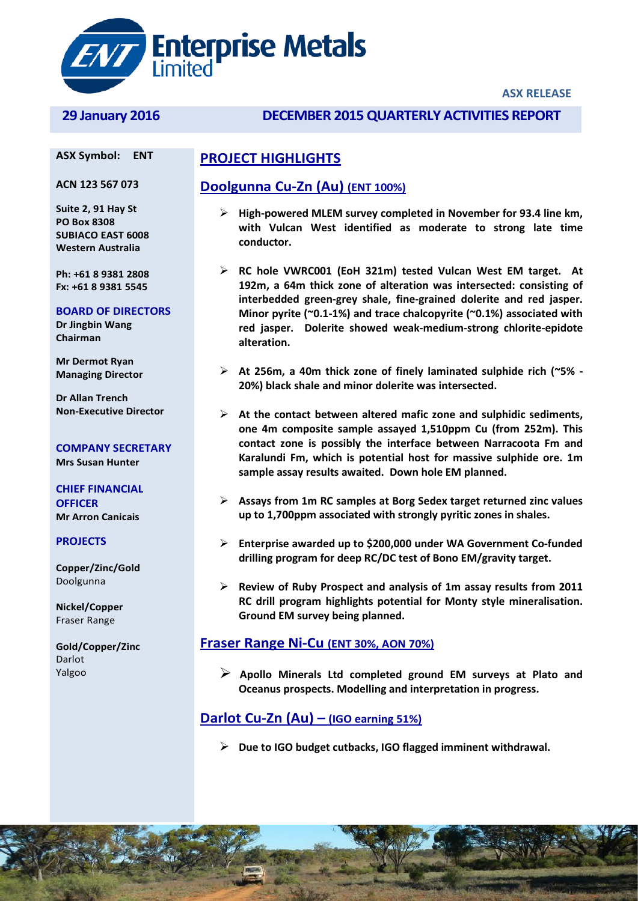

#### **ASX RELEASE**

#### **ASX Symbol: ENT**

**ACN 123 567 073** 

**Suite 2, 91 Hay St PO Box 8308 SUBIACO EAST 6008 Western Australia**

**Ph: +61 8 9381 2808 Fx: +61 8 9381 5545**

#### **BOARD OF DIRECTORS**

**Dr Jingbin Wang Chairman**

**Mr Dermot Ryan Managing Director**

**Dr Allan Trench Non-Executive Director**

**COMPANY SECRETARY Mrs Susan Hunter**

**CHIEF FINANCIAL OFFICER Mr Arron Canicais**

#### **PROJECTS**

**Copper/Zinc/Gold** Doolgunna

**Nickel/Copper** Fraser Range

**Gold/Copper/Zinc** Darlot Yalgoo

## **29 January 2016 DECEMBER 2015QUARTERLY ACTIVITIES REPORT**

## **PROJECT HIGHLIGHTS**

## **Doolgunna Cu-Zn (Au) (ENT 100%)**

- **High-powered MLEM survey completed in November for 93.4 line km, with Vulcan West identified as moderate to strong late time conductor.**
- **RC hole VWRC001 (EoH 321m) tested Vulcan West EM target. At 192m, a 64m thick zone of alteration was intersected: consisting of interbedded green-grey shale, fine-grained dolerite and red jasper. Minor pyrite (~0.1-1%) and trace chalcopyrite (~0.1%) associated with red jasper. Dolerite showed weak-medium-strong chlorite-epidote alteration.**
- **At 256m, a 40m thick zone of finely laminated sulphide rich (~5% - 20%) black shale and minor dolerite was intersected.**
- **At the contact between altered mafic zone and sulphidic sediments, one 4m composite sample assayed 1,510ppm Cu (from 252m). This contact zone is possibly the interface between Narracoota Fm and Karalundi Fm, which is potential host for massive sulphide ore. 1m sample assay results awaited. Down hole EM planned.**
- **Assays from 1m RC samples at Borg Sedex target returned zinc values up to 1,700ppm associated with strongly pyritic zones in shales.**
- **Enterprise awarded up to \$200,000 under WA Government Co-funded drilling program for deep RC/DC test of Bono EM/gravity target.**
- **Review of Ruby Prospect and analysis of 1m assay results from 2011 RC drill program highlights potential for Monty style mineralisation. Ground EM survey being planned.**

### **Fraser Range Ni-Cu (ENT 30%, AON 70%)**

 **Apollo Minerals Ltd completed ground EM surveys at Plato and Oceanus prospects. Modelling and interpretation in progress.**

## **Darlot Cu-Zn (Au) – (IGO earning 51%)**

**Due to IGO budget cutbacks, IGO flagged imminent withdrawal.**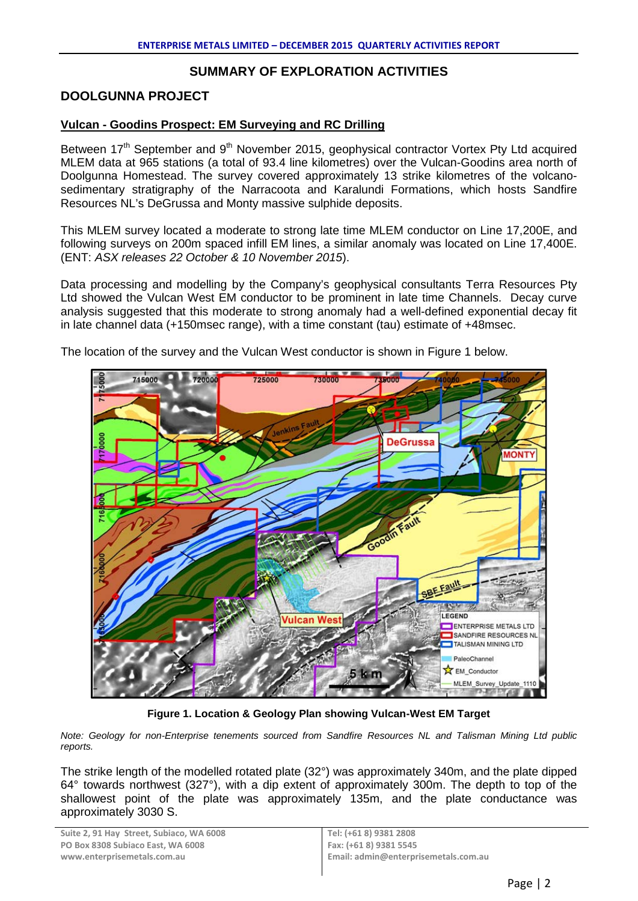## **SUMMARY OF EXPLORATION ACTIVITIES**

## **DOOLGUNNA PROJECT**

## **Vulcan - Goodins Prospect: EM Surveying and RC Drilling**

Between 17<sup>th</sup> September and 9<sup>th</sup> November 2015, geophysical contractor Vortex Pty Ltd acquired MLEM data at 965 stations (a total of 93.4 line kilometres) over the Vulcan-Goodins area north of Doolgunna Homestead. The survey covered approximately 13 strike kilometres of the volcanosedimentary stratigraphy of the Narracoota and Karalundi Formations, which hosts Sandfire Resources NL's DeGrussa and Monty massive sulphide deposits.

This MLEM survey located a moderate to strong late time MLEM conductor on Line 17,200E, and following surveys on 200m spaced infill EM lines, a similar anomaly was located on Line 17,400E. (ENT: *ASX releases 22 October & 10 November 2015*).

Data processing and modelling by the Company's geophysical consultants Terra Resources Pty Ltd showed the Vulcan West EM conductor to be prominent in late time Channels. Decay curve analysis suggested that this moderate to strong anomaly had a well-defined exponential decay fit in late channel data (+150msec range), with a time constant (tau) estimate of +48msec.



The location of the survey and the Vulcan West conductor is shown in Figure 1 below.

**Figure 1. Location & Geology Plan showing Vulcan-West EM Target**

*Note: Geology for non-Enterprise tenements sourced from Sandfire Resources NL and Talisman Mining Ltd public reports.*

The strike length of the modelled rotated plate (32°) was approximately 340m, and the plate dipped 64° towards northwest (327°), with a dip extent of approximately 300m. The depth to top of the shallowest point of the plate was approximately 135m, and the plate conductance was approximately 3030 S.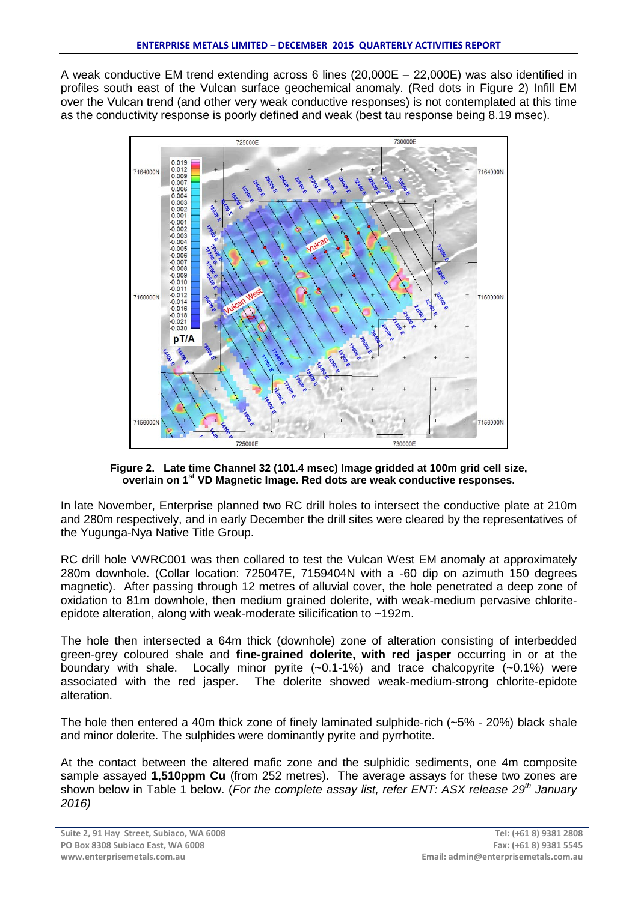A weak conductive EM trend extending across 6 lines (20,000E – 22,000E) was also identified in profiles south east of the Vulcan surface geochemical anomaly. (Red dots in Figure 2) Infill EM over the Vulcan trend (and other very weak conductive responses) is not contemplated at this time as the conductivity response is poorly defined and weak (best tau response being 8.19 msec).



**Figure 2. Late time Channel 32 (101.4 msec) Image gridded at 100m grid cell size, overlain on 1st VD Magnetic Image. Red dots are weak conductive responses.**

In late November, Enterprise planned two RC drill holes to intersect the conductive plate at 210m and 280m respectively, and in early December the drill sites were cleared by the representatives of the Yugunga-Nya Native Title Group.

RC drill hole VWRC001 was then collared to test the Vulcan West EM anomaly at approximately 280m downhole. (Collar location: 725047E, 7159404N with a -60 dip on azimuth 150 degrees magnetic). After passing through 12 metres of alluvial cover, the hole penetrated a deep zone of oxidation to 81m downhole, then medium grained dolerite, with weak-medium pervasive chloriteepidote alteration, along with weak-moderate silicification to ~192m.

The hole then intersected a 64m thick (downhole) zone of alteration consisting of interbedded green-grey coloured shale and **fine-grained dolerite, with red jasper** occurring in or at the boundary with shale. Locally minor pyrite (~0.1-1%) and trace chalcopyrite (~0.1%) were associated with the red jasper. The dolerite showed weak-medium-strong chlorite-epidote alteration.

The hole then entered a 40m thick zone of finely laminated sulphide-rich (~5% - 20%) black shale and minor dolerite. The sulphides were dominantly pyrite and pyrrhotite.

At the contact between the altered mafic zone and the sulphidic sediments, one 4m composite sample assayed **1,510ppm Cu** (from 252 metres). The average assays for these two zones are shown below in Table 1 below. (*For the complete assay list, refer ENT: ASX release 29<sup>th</sup> January 2016)*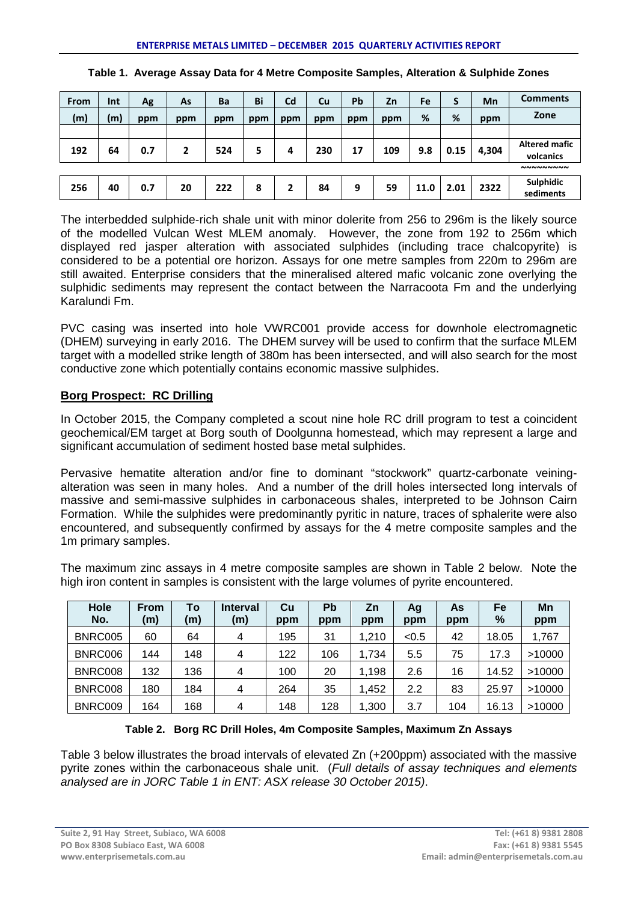| From | Int | Ag  | As  | Ba  | Bi  | Cd  | Cu  | Pb  | Zn  | Fe   | S    | Mn    | <b>Comments</b>                   |
|------|-----|-----|-----|-----|-----|-----|-----|-----|-----|------|------|-------|-----------------------------------|
| (m)  | (m) | ppm | ppm | ppm | ppm | ppm | ppm | ppm | ppm | %    | %    | ppm   | Zone                              |
|      |     |     |     |     |     |     |     |     |     |      |      |       |                                   |
| 192  | 64  | 0.7 | 2   | 524 | 5   | 4   | 230 | 17  | 109 | 9.8  | 0.15 | 4,304 | <b>Altered mafic</b><br>volcanics |
|      |     |     |     |     |     |     |     |     |     |      |      |       | <b>NNNNNNNN</b>                   |
| 256  | 40  | 0.7 | 20  | 222 | 8   |     | 84  | 9   | 59  | 11.0 | 2.01 | 2322  | <b>Sulphidic</b><br>sediments     |

|  |  | Table 1. Average Assay Data for 4 Metre Composite Samples, Alteration & Sulphide Zones |
|--|--|----------------------------------------------------------------------------------------|
|  |  |                                                                                        |

The interbedded sulphide-rich shale unit with minor dolerite from 256 to 296m is the likely source of the modelled Vulcan West MLEM anomaly. However, the zone from 192 to 256m which displayed red jasper alteration with associated sulphides (including trace chalcopyrite) is considered to be a potential ore horizon. Assays for one metre samples from 220m to 296m are still awaited. Enterprise considers that the mineralised altered mafic volcanic zone overlying the sulphidic sediments may represent the contact between the Narracoota Fm and the underlying Karalundi Fm.

PVC casing was inserted into hole VWRC001 provide access for downhole electromagnetic (DHEM) surveying in early 2016. The DHEM survey will be used to confirm that the surface MLEM target with a modelled strike length of 380m has been intersected, and will also search for the most conductive zone which potentially contains economic massive sulphides.

## **Borg Prospect: RC Drilling**

In October 2015, the Company completed a scout nine hole RC drill program to test a coincident geochemical/EM target at Borg south of Doolgunna homestead, which may represent a large and significant accumulation of sediment hosted base metal sulphides.

Pervasive hematite alteration and/or fine to dominant "stockwork" quartz-carbonate veiningalteration was seen in many holes. And a number of the drill holes intersected long intervals of massive and semi-massive sulphides in carbonaceous shales, interpreted to be Johnson Cairn Formation. While the sulphides were predominantly pyritic in nature, traces of sphalerite were also encountered, and subsequently confirmed by assays for the 4 metre composite samples and the 1m primary samples.

The maximum zinc assays in 4 metre composite samples are shown in Table 2 below. Note the high iron content in samples is consistent with the large volumes of pyrite encountered.

| Hole<br>No. | <b>From</b><br>(m) | <b>To</b><br>(m) | <b>Interval</b><br>(m) | Cu<br>ppm | Pb<br>ppm | Zn<br>ppm | Ag<br>ppm | As<br>ppm | Fe<br>% | Mn<br>ppm |
|-------------|--------------------|------------------|------------------------|-----------|-----------|-----------|-----------|-----------|---------|-----------|
| BNRC005     | 60                 | 64               | 4                      | 195       | 31        | 1,210     | < 0.5     | 42        | 18.05   | 1,767     |
| BNRC006     | 144                | 148              | 4                      | 122       | 106       | 1,734     | 5.5       | 75        | 17.3    | >10000    |
| BNRC008     | 132                | 136              | 4                      | 100       | 20        | 1,198     | 2.6       | 16        | 14.52   | >10000    |
| BNRC008     | 180                | 184              | 4                      | 264       | 35        | 452, ا    | 2.2       | 83        | 25.97   | >10000    |
| BNRC009     | 164                | 168              | 4                      | 148       | 128       | ,300      | 3.7       | 104       | 16.13   | >10000    |

### **Table 2. Borg RC Drill Holes, 4m Composite Samples, Maximum Zn Assays**

Table 3 below illustrates the broad intervals of elevated Zn (+200ppm) associated with the massive pyrite zones within the carbonaceous shale unit. (*Full details of assay techniques and elements analysed are in JORC Table 1 in ENT: ASX release 30 October 2015)*.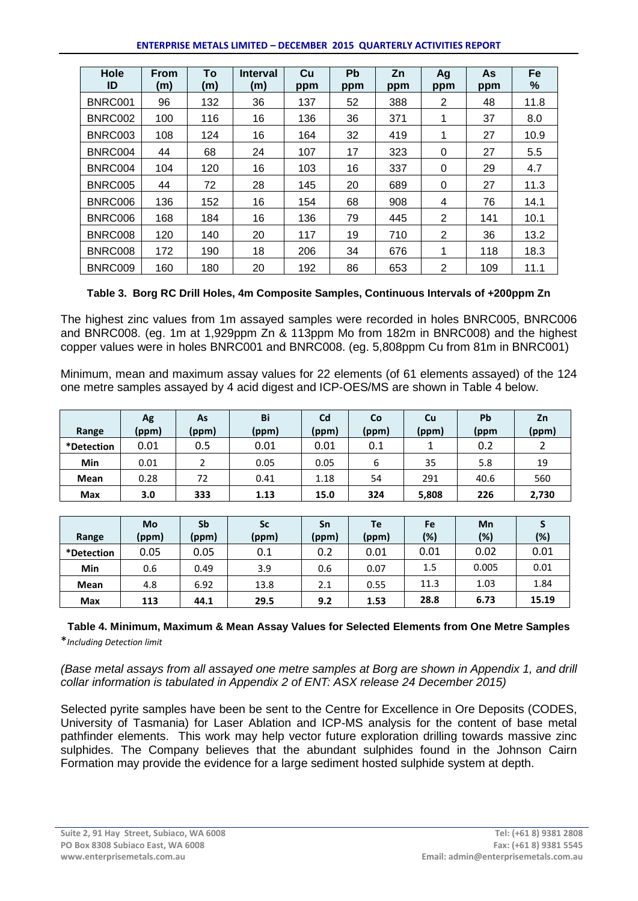#### **ENTERPRISE METALS LIMITED – DECEMBER 2015 QUARTERLY ACTIVITIES REPORT**

| Hole<br>ID | <b>From</b><br>(m) | To<br>(m) | <b>Interval</b><br>(m) | Cu<br>ppm | <b>Pb</b><br>ppm | Zn<br>ppm | Ag<br>ppm | As<br>ppm | <b>Fe</b><br>℅ |
|------------|--------------------|-----------|------------------------|-----------|------------------|-----------|-----------|-----------|----------------|
| BNRC001    | 96                 | 132       | 36                     | 137       | 52               | 388       | 2         | 48        | 11.8           |
| BNRC002    | 100                | 116       | 16                     | 136       | 36               | 371       | 1         | 37        | 8.0            |
| BNRC003    | 108                | 124       | 16                     | 164       | 32               | 419       |           | 27        | 10.9           |
| BNRC004    | 44                 | 68        | 24                     | 107       | 17               | 323       | 0         | 27        | 5.5            |
| BNRC004    | 104                | 120       | 16                     | 103       | 16               | 337       | 0         | 29        | 4.7            |
| BNRC005    | 44                 | 72        | 28                     | 145       | 20               | 689       | 0         | 27        | 11.3           |
| BNRC006    | 136                | 152       | 16                     | 154       | 68               | 908       | 4         | 76        | 14.1           |
| BNRC006    | 168                | 184       | 16                     | 136       | 79               | 445       | 2         | 141       | 10.1           |
| BNRC008    | 120                | 140       | 20                     | 117       | 19               | 710       | 2         | 36        | 13.2           |
| BNRC008    | 172                | 190       | 18                     | 206       | 34               | 676       | 1         | 118       | 18.3           |
| BNRC009    | 160                | 180       | 20                     | 192       | 86               | 653       | 2         | 109       | 11.1           |

### **Table 3. Borg RC Drill Holes, 4m Composite Samples, Continuous Intervals of +200ppm Zn**

The highest zinc values from 1m assayed samples were recorded in holes BNRC005, BNRC006 and BNRC008. (eg. 1m at 1,929ppm Zn & 113ppm Mo from 182m in BNRC008) and the highest copper values were in holes BNRC001 and BNRC008. (eg. 5,808ppm Cu from 81m in BNRC001)

Minimum, mean and maximum assay values for 22 elements (of 61 elements assayed) of the 124 one metre samples assayed by 4 acid digest and ICP-OES/MS are shown in Table 4 below.

|            | Ag    | As    | Bi    | Cd    | Co    | Cu    | Pb   | Zn    |
|------------|-------|-------|-------|-------|-------|-------|------|-------|
| Range      | (ppm) | (ppm) | (ppm) | (ppm) | (ppm) | (ppm) | (ppm | (ppm) |
| *Detection | 0.01  | 0.5   | 0.01  | 0.01  | 0.1   |       | 0.2  |       |
| Min        | 0.01  |       | 0.05  | 0.05  | 6     | 35    | 5.8  | 19    |
| Mean       | 0.28  | 72    | 0.41  | 1.18  | 54    | 291   | 40.6 | 560   |
| Max        | 3.0   | 333   | 1.13  | 15.0  | 324   | 5,808 | 226  | 2,730 |

|            | Mo    | Sb    | Sc    | Sn    | Te    | Fe   | Mn    |       |
|------------|-------|-------|-------|-------|-------|------|-------|-------|
| Range      | (ppm) | (ppm) | (ppm) | (ppm) | (ppm) | (%)  | (%)   | (%)   |
| *Detection | 0.05  | 0.05  | 0.1   | 0.2   | 0.01  | 0.01 | 0.02  | 0.01  |
| Min        | 0.6   | 0.49  | 3.9   | 0.6   | 0.07  | 1.5  | 0.005 | 0.01  |
| Mean       | 4.8   | 6.92  | 13.8  | 2.1   | 0.55  | 11.3 | 1.03  | 1.84  |
| Max        | 113   | 44.1  | 29.5  | 9.2   | 1.53  | 28.8 | 6.73  | 15.19 |

### **Table 4. Minimum, Maximum & Mean Assay Values for Selected Elements from One Metre Samples** \**Including Detection limit*

*(Base metal assays from all assayed one metre samples at Borg are shown in Appendix 1, and drill collar information is tabulated in Appendix 2 of ENT: ASX release 24 December 2015)*

Selected pyrite samples have been be sent to the Centre for Excellence in Ore Deposits (CODES, University of Tasmania) for Laser Ablation and ICP-MS analysis for the content of base metal pathfinder elements. This work may help vector future exploration drilling towards massive zinc sulphides. The Company believes that the abundant sulphides found in the Johnson Cairn Formation may provide the evidence for a large sediment hosted sulphide system at depth.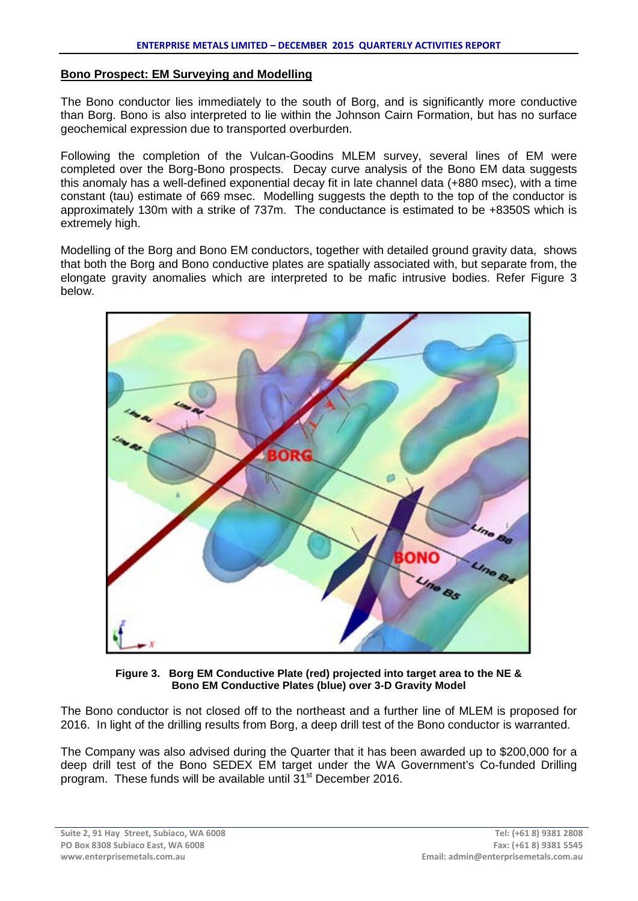#### **Bono Prospect: EM Surveying and Modelling**

The Bono conductor lies immediately to the south of Borg, and is significantly more conductive than Borg. Bono is also interpreted to lie within the Johnson Cairn Formation, but has no surface geochemical expression due to transported overburden.

Following the completion of the Vulcan-Goodins MLEM survey, several lines of EM were completed over the Borg-Bono prospects. Decay curve analysis of the Bono EM data suggests this anomaly has a well-defined exponential decay fit in late channel data (+880 msec), with a time constant (tau) estimate of 669 msec. Modelling suggests the depth to the top of the conductor is approximately 130m with a strike of 737m. The conductance is estimated to be +8350S which is extremely high.

Modelling of the Borg and Bono EM conductors, together with detailed ground gravity data, shows that both the Borg and Bono conductive plates are spatially associated with, but separate from, the elongate gravity anomalies which are interpreted to be mafic intrusive bodies. Refer Figure 3 below.



**Figure 3. Borg EM Conductive Plate (red) projected into target area to the NE & Bono EM Conductive Plates (blue) over 3-D Gravity Model**

The Bono conductor is not closed off to the northeast and a further line of MLEM is proposed for 2016. In light of the drilling results from Borg, a deep drill test of the Bono conductor is warranted.

The Company was also advised during the Quarter that it has been awarded up to \$200,000 for a deep drill test of the Bono SEDEX EM target under the WA Government's Co-funded Drilling program. These funds will be available until 31<sup>st</sup> December 2016.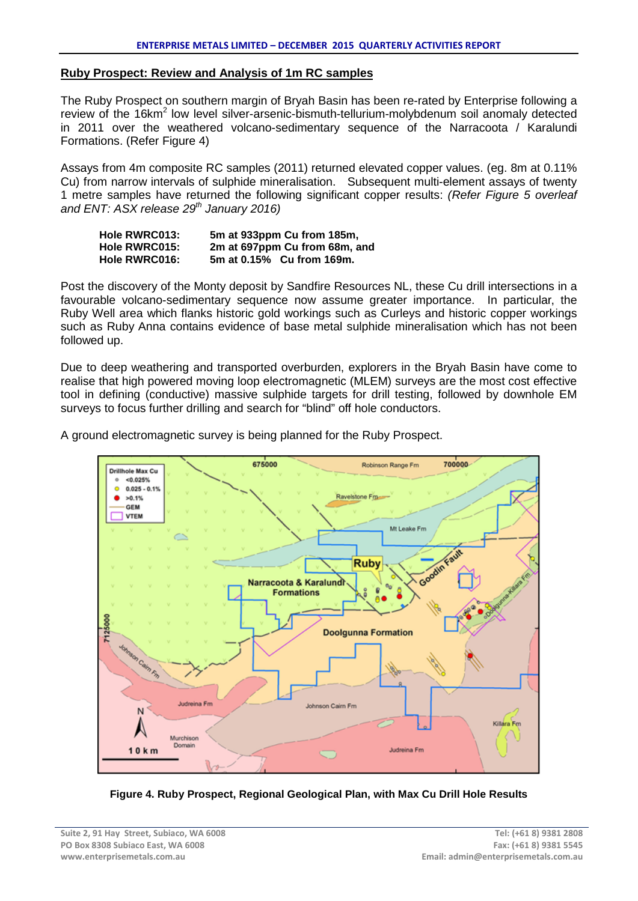#### **Ruby Prospect: Review and Analysis of 1m RC samples**

The Ruby Prospect on southern margin of Bryah Basin has been re-rated by Enterprise following a review of the 16km<sup>2</sup> low level silver-arsenic-bismuth-tellurium-molybdenum soil anomaly detected in 2011 over the weathered volcano-sedimentary sequence of the Narracoota / Karalundi Formations. (Refer Figure 4)

Assays from 4m composite RC samples (2011) returned elevated copper values. (eg. 8m at 0.11% Cu) from narrow intervals of sulphide mineralisation. Subsequent multi-element assays of twenty 1 metre samples have returned the following significant copper results: *(Refer Figure 5 overleaf and ENT: ASX release 29th January 2016)*

| <b>Hole RWRC013:</b> | 5m at 933ppm Cu from 185m,    |
|----------------------|-------------------------------|
| <b>Hole RWRC015:</b> | 2m at 697ppm Cu from 68m, and |
| <b>Hole RWRC016:</b> | 5m at 0.15% Cu from 169m.     |

Post the discovery of the Monty deposit by Sandfire Resources NL, these Cu drill intersections in a favourable volcano-sedimentary sequence now assume greater importance. In particular, the Ruby Well area which flanks historic gold workings such as Curleys and historic copper workings such as Ruby Anna contains evidence of base metal sulphide mineralisation which has not been followed up.

Due to deep weathering and transported overburden, explorers in the Bryah Basin have come to realise that high powered moving loop electromagnetic (MLEM) surveys are the most cost effective tool in defining (conductive) massive sulphide targets for drill testing, followed by downhole EM surveys to focus further drilling and search for "blind" off hole conductors.

675000 700000 Robinson Range Fm Drillhole Max Cu <0.025% 0.025 - 0.1% ó  $>0.1%$ Ravelstone Fm ٠ **OEM VTEM** Mt Leake Fm Ruby Narracoota & Karalundi **Formations** 7125000 **Doolgunna Formation Jurinaina Fm** son Cairn Fn Killara Fm Murchison Domain  $10km$ Judreina Fm

A ground electromagnetic survey is being planned for the Ruby Prospect.

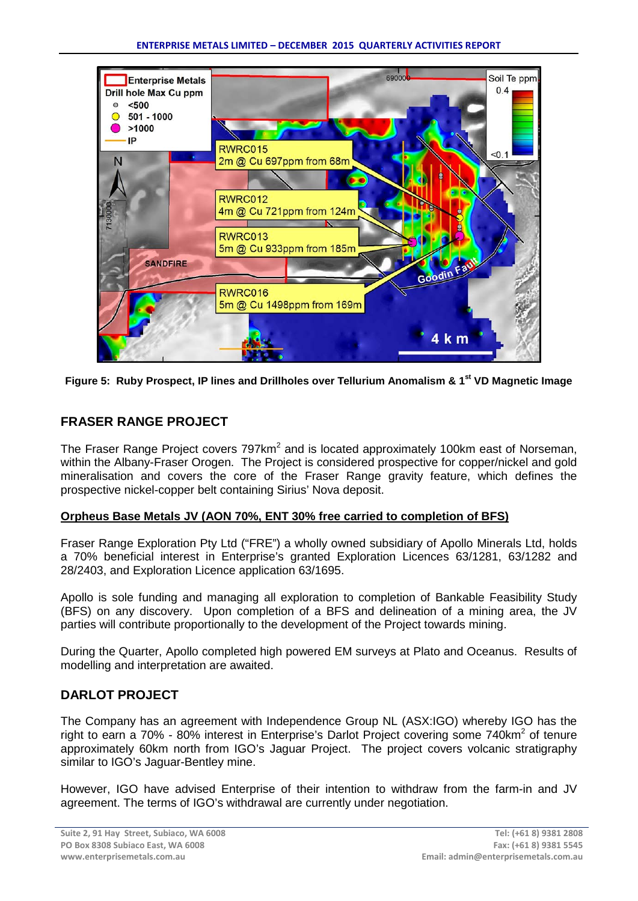

Figure 5: Ruby Prospect, IP lines and Drillholes over Tellurium Anomalism & 1<sup>st</sup> VD Magnetic Image

# **FRASER RANGE PROJECT**

The Fraser Range Project covers  $797 \text{km}^2$  and is located approximately 100km east of Norseman, within the Albany-Fraser Orogen. The Project is considered prospective for copper/nickel and gold mineralisation and covers the core of the Fraser Range gravity feature, which defines the prospective nickel-copper belt containing Sirius' Nova deposit.

## **Orpheus Base Metals JV (AON 70%, ENT 30% free carried to completion of BFS)**

Fraser Range Exploration Pty Ltd ("FRE") a wholly owned subsidiary of Apollo Minerals Ltd, holds a 70% beneficial interest in Enterprise's granted Exploration Licences 63/1281, 63/1282 and 28/2403, and Exploration Licence application 63/1695.

Apollo is sole funding and managing all exploration to completion of Bankable Feasibility Study (BFS) on any discovery. Upon completion of a BFS and delineation of a mining area, the JV parties will contribute proportionally to the development of the Project towards mining.

During the Quarter, Apollo completed high powered EM surveys at Plato and Oceanus. Results of modelling and interpretation are awaited.

# **DARLOT PROJECT**

The Company has an agreement with Independence Group NL (ASX:IGO) whereby IGO has the right to earn a 70% - 80% interest in Enterprise's Darlot Project covering some 740km<sup>2</sup> of tenure approximately 60km north from IGO's Jaguar Project. The project covers volcanic stratigraphy similar to IGO's Jaguar-Bentley mine.

However, IGO have advised Enterprise of their intention to withdraw from the farm-in and JV agreement. The terms of IGO's withdrawal are currently under negotiation.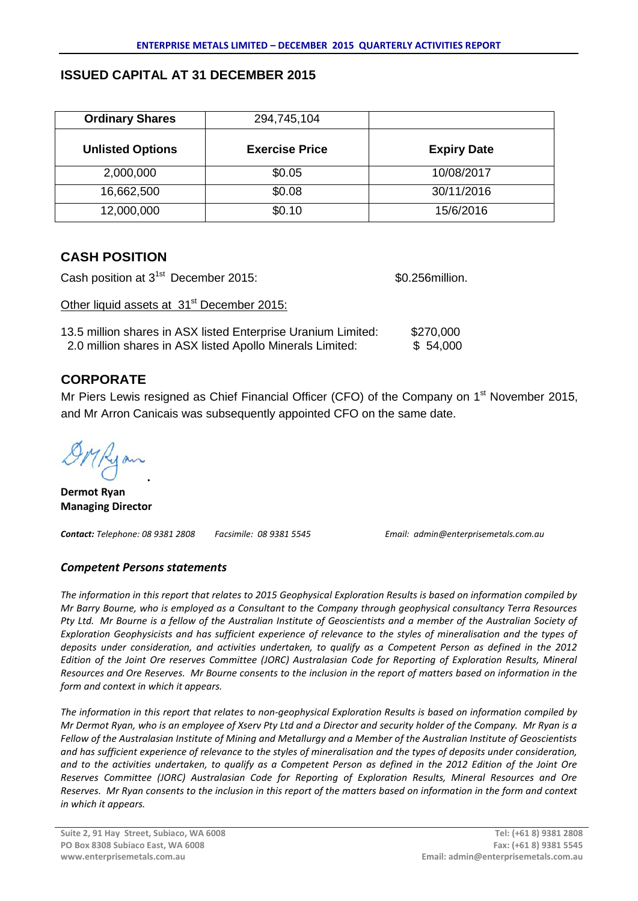## **ISSUED CAPITAL AT 31 DECEMBER 2015**

| <b>Ordinary Shares</b>  | 294,745,104           |                    |
|-------------------------|-----------------------|--------------------|
| <b>Unlisted Options</b> | <b>Exercise Price</b> | <b>Expiry Date</b> |
| 2,000,000               | \$0.05                | 10/08/2017         |
| 16,662,500              | \$0.08                | 30/11/2016         |
| 12,000,000              | \$0.10                | 15/6/2016          |

## **CASH POSITION**

Cash position at 3<sup>1st</sup> December 2015: **\$0.256million.** Other liquid assets at 31<sup>st</sup> December 2015: 13.5 million shares in ASX listed Enterprise Uranium Limited: \$270,000 2.0 million shares in ASX listed Apollo Minerals Limited: \$ 54,000

# **CORPORATE**

Mr Piers Lewis resigned as Chief Financial Officer (CFO) of the Company on 1<sup>st</sup> November 2015, and Mr Arron Canicais was subsequently appointed CFO on the same date.

**.** 

**Dermot Ryan Managing Director**

*Contact: Telephone: 08 9381 2808 Facsimile: 08 9381 5545 Email: admin@enterprisemetals.com.au*

## *Competent Persons statements*

*The information in this report that relates to 2015 Geophysical Exploration Results is based on information compiled by Mr Barry Bourne, who is employed as a Consultant to the Company through geophysical consultancy Terra Resources Pty Ltd. Mr Bourne is a fellow of the Australian Institute of Geoscientists and a member of the Australian Society of Exploration Geophysicists and has sufficient experience of relevance to the styles of mineralisation and the types of deposits under consideration, and activities undertaken, to qualify as a Competent Person as defined in the 2012 Edition of the Joint Ore reserves Committee (JORC) Australasian Code for Reporting of Exploration Results, Mineral Resources and Ore Reserves. Mr Bourne consents to the inclusion in the report of matters based on information in the form and context in which it appears.*

*The information in this report that relates to non-geophysical Exploration Results is based on information compiled by Mr Dermot Ryan, who is an employee of Xserv Pty Ltd and a Director and security holder of the Company. Mr Ryan is a Fellow of the Australasian Institute of Mining and Metallurgy and a Member of the Australian Institute of Geoscientists and has sufficient experience of relevance to the styles of mineralisation and the types of deposits under consideration, and to the activities undertaken, to qualify as a Competent Person as defined in the 2012 Edition of the Joint Ore Reserves Committee (JORC) Australasian Code for Reporting of Exploration Results, Mineral Resources and Ore Reserves. Mr Ryan consents to the inclusion in this report of the matters based on information in the form and context in which it appears.*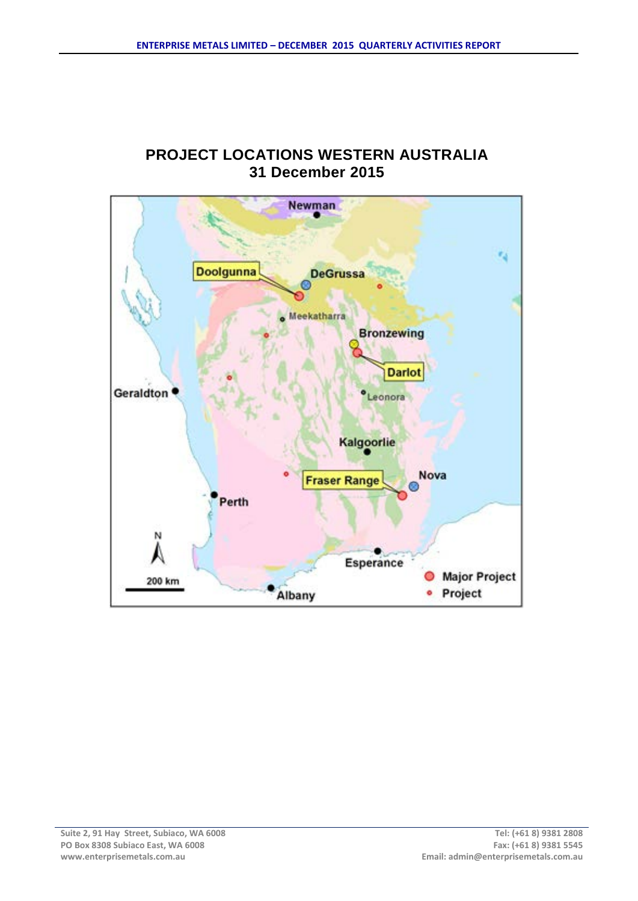# **PROJECT LOCATIONS WESTERN AUSTRALIA 31 December 2015**